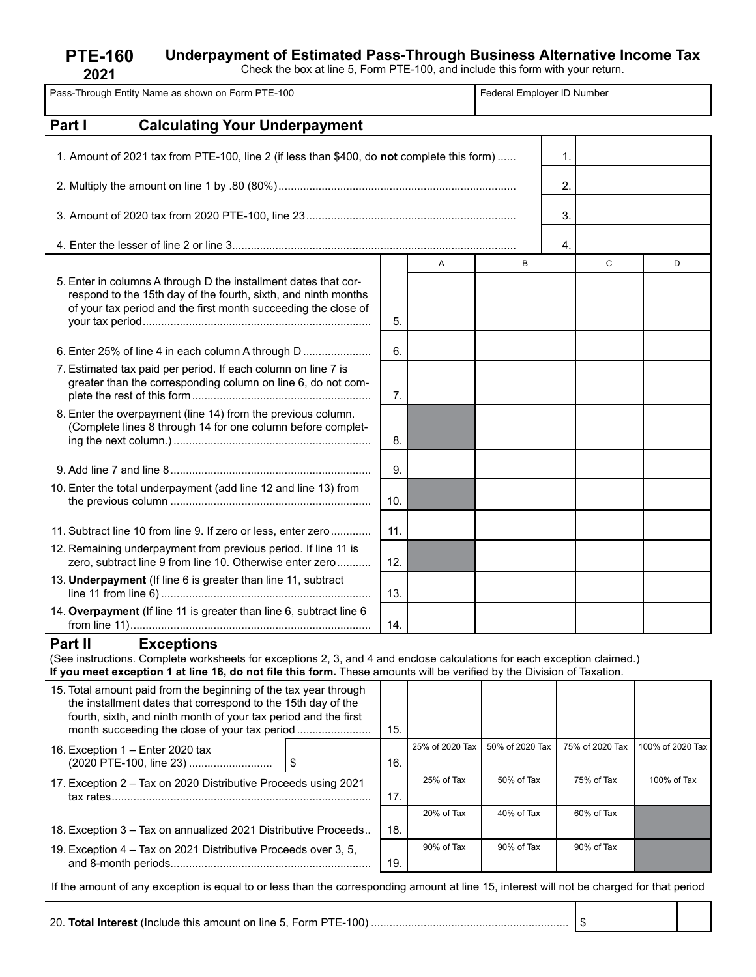# **Underpayment of Estimated Pass-Through Business Alternative Income Tax**

Check the box at line 5, Form PTE-100, and include this form with your return.

| Check the box at line 5, Form PTE-100, and include this form with your return.<br>2021                                                                                                                                                                                            |                            |   |   |    |   |   |
|-----------------------------------------------------------------------------------------------------------------------------------------------------------------------------------------------------------------------------------------------------------------------------------|----------------------------|---|---|----|---|---|
| Pass-Through Entity Name as shown on Form PTE-100                                                                                                                                                                                                                                 | Federal Employer ID Number |   |   |    |   |   |
| <b>Calculating Your Underpayment</b><br>Part I                                                                                                                                                                                                                                    |                            |   |   |    |   |   |
| 1. Amount of 2021 tax from PTE-100, line 2 (if less than \$400, do not complete this form)                                                                                                                                                                                        |                            |   |   | 1. |   |   |
|                                                                                                                                                                                                                                                                                   |                            |   |   | 2. |   |   |
|                                                                                                                                                                                                                                                                                   |                            |   |   | 3. |   |   |
|                                                                                                                                                                                                                                                                                   |                            |   |   | 4. |   |   |
|                                                                                                                                                                                                                                                                                   |                            | A | B |    | C | D |
| 5. Enter in columns A through D the installment dates that cor-<br>respond to the 15th day of the fourth, sixth, and ninth months                                                                                                                                                 |                            |   |   |    |   |   |
| of your tax period and the first month succeeding the close of                                                                                                                                                                                                                    |                            |   |   |    |   |   |
|                                                                                                                                                                                                                                                                                   | 5.                         |   |   |    |   |   |
|                                                                                                                                                                                                                                                                                   | 6.                         |   |   |    |   |   |
| 7. Estimated tax paid per period. If each column on line 7 is<br>greater than the corresponding column on line 6, do not com-                                                                                                                                                     | 7.                         |   |   |    |   |   |
| 8. Enter the overpayment (line 14) from the previous column.<br>(Complete lines 8 through 14 for one column before complet-                                                                                                                                                       | 8.                         |   |   |    |   |   |
|                                                                                                                                                                                                                                                                                   | 9.                         |   |   |    |   |   |
| 10. Enter the total underpayment (add line 12 and line 13) from                                                                                                                                                                                                                   | 10.                        |   |   |    |   |   |
| 11. Subtract line 10 from line 9. If zero or less, enter zero                                                                                                                                                                                                                     | 11.                        |   |   |    |   |   |
| 12. Remaining underpayment from previous period. If line 11 is<br>zero, subtract line 9 from line 10. Otherwise enter zero                                                                                                                                                        | 12.                        |   |   |    |   |   |
| 13. Underpayment (If line 6 is greater than line 11, subtract                                                                                                                                                                                                                     | 13.                        |   |   |    |   |   |
| 14. Overpayment (If line 11 is greater than line 6, subtract line 6                                                                                                                                                                                                               | 14.                        |   |   |    |   |   |
| Part II<br><b>Exceptions</b><br>(See instructions. Complete worksheets for exceptions 2, 3, and 4 and enclose calculations for each exception claimed.)<br>If you meet exception 1 at line 16, do not file this form. These amounts will be verified by the Division of Taxation. |                            |   |   |    |   |   |
| 15. Total amount paid from the beginning of the tax year through<br>the installment dates that correspond to the 15th day of the                                                                                                                                                  |                            |   |   |    |   |   |

| .o. Total annoam, paid nomi tho boghiming of the tax your timough<br>the installment dates that correspond to the 15th day of the<br>fourth, sixth, and ninth month of your tax period and the first |  | 15. |                 |                 |                 |                  |
|------------------------------------------------------------------------------------------------------------------------------------------------------------------------------------------------------|--|-----|-----------------|-----------------|-----------------|------------------|
| 16. Exception 1 – Enter 2020 tax<br>(2020 PTE-100, line 23)                                                                                                                                          |  | 16. | 25% of 2020 Tax | 50% of 2020 Tax | 75% of 2020 Tax | 100% of 2020 Tax |
| 17. Exception 2 – Tax on 2020 Distributive Proceeds using 2021                                                                                                                                       |  | 17. | 25% of Tax      | 50% of Tax      | 75% of Tax      | 100% of Tax      |
|                                                                                                                                                                                                      |  |     | 20% of Tax      | 40% of Tax      | 60% of Tax      |                  |
| 18. Exception 3 – Tax on annualized 2021 Distributive Proceeds                                                                                                                                       |  | 18. |                 |                 |                 |                  |
| 19. Exception 4 – Tax on 2021 Distributive Proceeds over 3, 5,                                                                                                                                       |  | 19  | 90% of Tax      | 90% of Tax      | 90% of Tax      |                  |

If the amount of any exception is equal to or less than the corresponding amount at line 15, interest will not be charged for that period

20. **Total Interest** (Include this amount on line 5, Form PTE-100) ................................................................ \$

**PTE-160**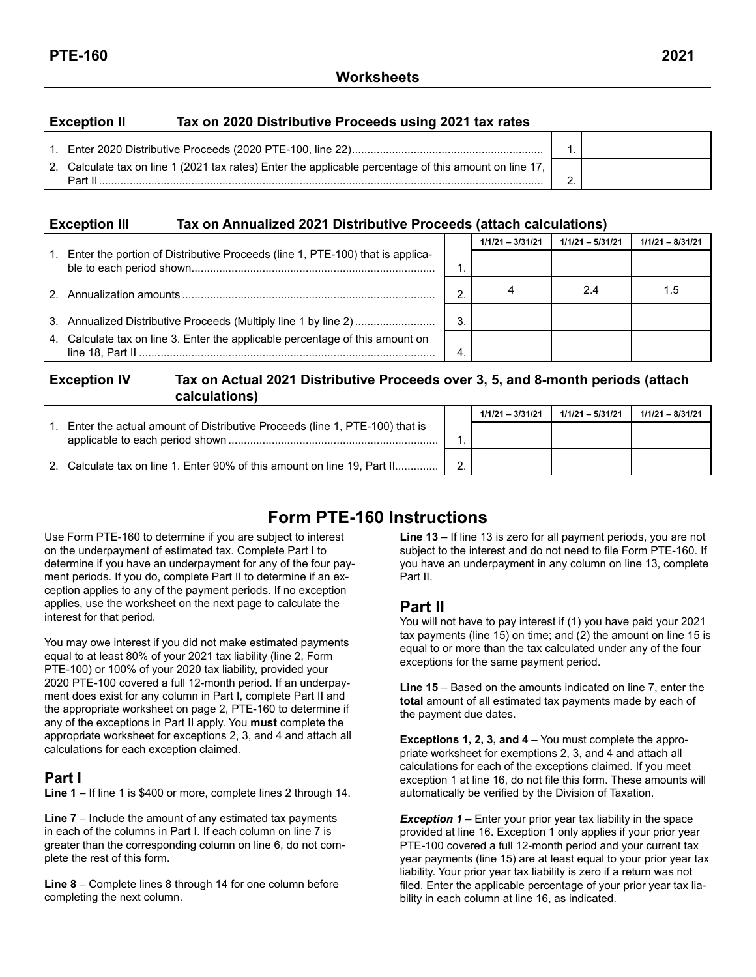#### **Exception II Tax on 2020 Distributive Proceeds using 2021 tax rates**

| 2. Calculate tax on line 1 (2021 tax rates) Enter the applicable percentage of this amount on line 17,<br>Part II | - |  |
|-------------------------------------------------------------------------------------------------------------------|---|--|

#### **Exception III Tax on Annualized 2021 Distributive Proceeds (attach calculations)**

|                                                                                  |    | $1/1/21 - 3/31/21$ | $1/1/21 - 5/31/21$ | $1/1/21 - 8/31/21$ |
|----------------------------------------------------------------------------------|----|--------------------|--------------------|--------------------|
| 1. Enter the portion of Distributive Proceeds (line 1, PTE-100) that is applica- |    |                    |                    |                    |
|                                                                                  | ົ  |                    | 2.4                | 1.5                |
|                                                                                  | 3. |                    |                    |                    |
| 4. Calculate tax on line 3. Enter the applicable percentage of this amount on    |    |                    |                    |                    |

#### **Exception IV Tax on Actual 2021 Distributive Proceeds over 3, 5, and 8-month periods (attach calculations)**

|                                                                            |                | $1/1/21 - 3/31/21$ | $1/1/21 - 5/31/21$ | $1/1/21 - 8/31/21$ |
|----------------------------------------------------------------------------|----------------|--------------------|--------------------|--------------------|
| Enter the actual amount of Distributive Proceeds (line 1, PTE-100) that is |                |                    |                    |                    |
|                                                                            |                |                    |                    |                    |
| 2. Calculate tax on line 1. Enter 90% of this amount on line 19, Part II   | $\overline{2}$ |                    |                    |                    |

# **Form PTE-160 Instructions**

Use Form PTE-160 to determine if you are subject to interest on the underpayment of estimated tax. Complete Part I to determine if you have an underpayment for any of the four payment periods. If you do, complete Part II to determine if an exception applies to any of the payment periods. If no exception applies, use the worksheet on the next page to calculate the interest for that period.

You may owe interest if you did not make estimated payments equal to at least 80% of your 2021 tax liability (line 2, Form PTE-100) or 100% of your 2020 tax liability, provided your 2020 PTE-100 covered a full 12-month period. If an underpayment does exist for any column in Part I, complete Part II and the appropriate worksheet on page 2, PTE-160 to determine if any of the exceptions in Part II apply. You **must** complete the appropriate worksheet for exceptions 2, 3, and 4 and attach all calculations for each exception claimed.

# **Part I**

**Line 1** – If line 1 is \$400 or more, complete lines 2 through 14.

**Line 7** – Include the amount of any estimated tax payments in each of the columns in Part I. If each column on line 7 is greater than the corresponding column on line 6, do not complete the rest of this form.

**Line 8** – Complete lines 8 through 14 for one column before completing the next column.

**Line 13** – If line 13 is zero for all payment periods, you are not subject to the interest and do not need to file Form PTE-160. If you have an underpayment in any column on line 13, complete Part II.

# **Part II**

You will not have to pay interest if (1) you have paid your 2021 tax payments (line 15) on time; and (2) the amount on line 15 is equal to or more than the tax calculated under any of the four exceptions for the same payment period.

**Line 15** – Based on the amounts indicated on line 7, enter the **total** amount of all estimated tax payments made by each of the payment due dates.

**Exceptions 1, 2, 3, and 4** – You must complete the appropriate worksheet for exemptions 2, 3, and 4 and attach all calculations for each of the exceptions claimed. If you meet exception 1 at line 16, do not file this form. These amounts will automatically be verified by the Division of Taxation.

**Exception 1** – Enter your prior year tax liability in the space provided at line 16. Exception 1 only applies if your prior year PTE-100 covered a full 12-month period and your current tax year payments (line 15) are at least equal to your prior year tax liability. Your prior year tax liability is zero if a return was not filed. Enter the applicable percentage of your prior year tax liability in each column at line 16, as indicated.